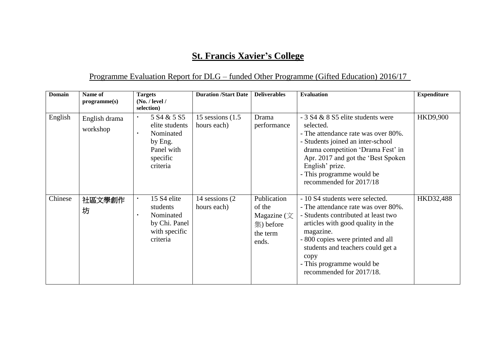## **St. Francis Xavier's College**

## Programme Evaluation Report for DLG – funded Other Programme (Gifted Education) 2016/17

| Domain  | Name of<br>programme(s)   | <b>Targets</b><br>(No. / level /<br>selection)                                                                      | <b>Duration /Start Date</b>        | <b>Deliverables</b>                                                            | <b>Evaluation</b>                                                                                                                                                                                                                                                                                          | <b>Expenditure</b> |
|---------|---------------------------|---------------------------------------------------------------------------------------------------------------------|------------------------------------|--------------------------------------------------------------------------------|------------------------------------------------------------------------------------------------------------------------------------------------------------------------------------------------------------------------------------------------------------------------------------------------------------|--------------------|
| English | English drama<br>workshop | 5 S <sub>4</sub> & 5 S <sub>5</sub><br>elite students<br>Nominated<br>by Eng.<br>Panel with<br>specific<br>criteria | 15 sessions $(1.5)$<br>hours each) | Drama<br>performance                                                           | $-3$ S4 & 8 S5 elite students were<br>selected.<br>- The attendance rate was over 80%.<br>- Students joined an inter-school<br>drama competition 'Drama Fest' in<br>Apr. 2017 and got the 'Best Spoken'<br>English' prize.<br>- This programme would be<br>recommended for 2017/18                         | <b>HKD9,900</b>    |
| Chinese | 社區文學創作<br>坊               | 15 S4 elite<br>students<br>Nominated<br>٠.<br>by Chi. Panel<br>with specific<br>criteria                            | 14 sessions (2)<br>hours each)     | Publication<br>of the<br>Magazine $(\nabla)$<br>集) before<br>the term<br>ends. | - 10 S4 students were selected.<br>- The attendance rate was over 80%.<br>- Students contributed at least two<br>articles with good quality in the<br>magazine.<br>- 800 copies were printed and all<br>students and teachers could get a<br>copy<br>- This programme would be<br>recommended for 2017/18. | HKD32,488          |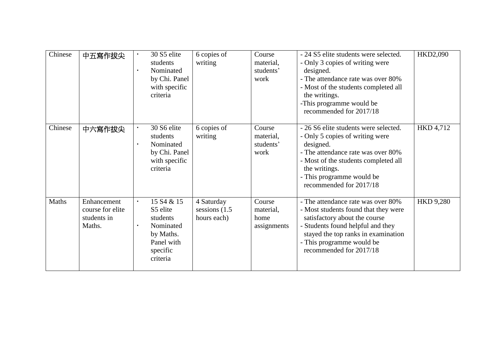| Chinese | 中五寫作拔尖                                                   | 30 S5 elite<br>students<br>Nominated<br>$\blacksquare$<br>by Chi. Panel<br>with specific<br>criteria | 6 copies of<br>writing                        | Course<br>material,<br>students'<br>work   | - 24 S5 elite students were selected.<br>- Only 3 copies of writing were<br>designed.<br>- The attendance rate was over 80%<br>- Most of the students completed all<br>the writings.<br>-This programme would be<br>recommended for 2017/18     | HKD2,090         |
|---------|----------------------------------------------------------|------------------------------------------------------------------------------------------------------|-----------------------------------------------|--------------------------------------------|-------------------------------------------------------------------------------------------------------------------------------------------------------------------------------------------------------------------------------------------------|------------------|
| Chinese | 中六寫作拔尖                                                   | 30 S6 elite<br>students<br>Nominated<br>by Chi. Panel<br>with specific<br>criteria                   | 6 copies of<br>writing                        | Course<br>material,<br>students'<br>work   | - 26 S6 elite students were selected.<br>- Only 5 copies of writing were<br>designed.<br>- The attendance rate was over 80%<br>- Most of the students completed all<br>the writings.<br>- This programme would be<br>recommended for 2017/18    | HKD 4,712        |
| Maths   | Enhancement<br>course for elite<br>students in<br>Maths. | 15 S4 & 15<br>S5 elite<br>students<br>Nominated<br>by Maths.<br>Panel with<br>specific<br>criteria   | 4 Saturday<br>sessions $(1.5)$<br>hours each) | Course<br>material,<br>home<br>assignments | - The attendance rate was over 80%<br>- Most students found that they were<br>satisfactory about the course<br>- Students found helpful and they<br>stayed the top ranks in examination<br>- This programme would be<br>recommended for 2017/18 | <b>HKD 9,280</b> |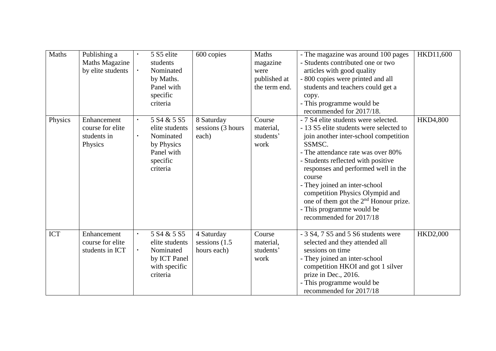| Maths      | Publishing a          | 5 S5 elite                          | 600 copies        | Maths         | - The magazine was around 100 pages               | HKD11,600       |
|------------|-----------------------|-------------------------------------|-------------------|---------------|---------------------------------------------------|-----------------|
|            | <b>Maths Magazine</b> | students                            |                   | magazine      | Students contributed one or two                   |                 |
|            | by elite students     | Nominated                           |                   | were          | articles with good quality                        |                 |
|            |                       | by Maths.                           |                   | published at  | - 800 copies were printed and all                 |                 |
|            |                       | Panel with                          |                   | the term end. | students and teachers could get a                 |                 |
|            |                       | specific                            |                   |               | copy.                                             |                 |
|            |                       | criteria                            |                   |               | - This programme would be                         |                 |
|            |                       |                                     |                   |               | recommended for 2017/18.                          |                 |
| Physics    | Enhancement           | 5 S <sub>4</sub> & 5 S <sub>5</sub> | 8 Saturday        | Course        | - 7 S4 elite students were selected.              | <b>HKD4,800</b> |
|            | course for elite      | elite students                      | sessions (3 hours | material,     | - 13 S5 elite students were selected to           |                 |
|            | students in           | Nominated                           | each)             | students'     | join another inter-school competition             |                 |
|            | Physics               | by Physics                          |                   | work          | SSMSC.                                            |                 |
|            |                       | Panel with                          |                   |               | - The attendance rate was over 80%                |                 |
|            |                       | specific                            |                   |               | - Students reflected with positive                |                 |
|            |                       | criteria                            |                   |               | responses and performed well in the               |                 |
|            |                       |                                     |                   |               | course                                            |                 |
|            |                       |                                     |                   |               | - They joined an inter-school                     |                 |
|            |                       |                                     |                   |               | competition Physics Olympid and                   |                 |
|            |                       |                                     |                   |               | one of them got the 2 <sup>nd</sup> Honour prize. |                 |
|            |                       |                                     |                   |               | - This programme would be                         |                 |
|            |                       |                                     |                   |               | recommended for 2017/18                           |                 |
|            |                       |                                     |                   |               |                                                   |                 |
| <b>ICT</b> | Enhancement           | 5 S <sub>4</sub> & 5 S <sub>5</sub> | 4 Saturday        | Course        | - 3 S4, 7 S5 and 5 S6 students were               | <b>HKD2,000</b> |
|            | course for elite      | elite students                      | sessions (1.5)    | material,     | selected and they attended all                    |                 |
|            | students in ICT       | Nominated                           | hours each)       | students'     | sessions on time                                  |                 |
|            |                       | by ICT Panel                        |                   | work          | - They joined an inter-school                     |                 |
|            |                       | with specific                       |                   |               | competition HKOI and got 1 silver                 |                 |
|            |                       | criteria                            |                   |               | prize in Dec., 2016.                              |                 |
|            |                       |                                     |                   |               | - This programme would be                         |                 |
|            |                       |                                     |                   |               | recommended for 2017/18                           |                 |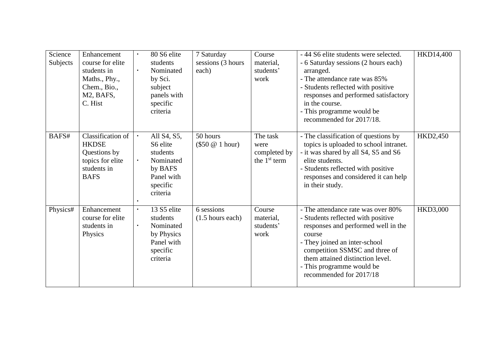| Science<br>Subjects | Enhancement<br>course for elite<br>students in<br>Maths., Phy.,<br>Chem., Bio.,<br>M2, BAFS,<br>C. Hist | 80 S6 elite<br>students<br>Nominated<br>by Sci.<br>subject<br>panels with<br>specific<br>criteria       | 7 Saturday<br>sessions (3 hours<br>each) | Course<br>material,<br>students'<br>work           | -44 S6 elite students were selected.<br>- 6 Saturday sessions (2 hours each)<br>arranged.<br>- The attendance rate was 85%<br>- Students reflected with positive<br>responses and performed satisfactory<br>in the course.<br>- This programme would be<br>recommended for 2017/18.      | HKD14,400       |
|---------------------|---------------------------------------------------------------------------------------------------------|---------------------------------------------------------------------------------------------------------|------------------------------------------|----------------------------------------------------|------------------------------------------------------------------------------------------------------------------------------------------------------------------------------------------------------------------------------------------------------------------------------------------|-----------------|
| BAFS#               | Classification of<br><b>HKDSE</b><br>Questions by<br>topics for elite<br>students in<br><b>BAFS</b>     | All S4, S5,<br>S6 elite<br>students<br>Nominated<br>by BAFS<br>Panel with<br>specific<br>criteria       | 50 hours<br>$(\$50 @ 1 hour)$            | The task<br>were<br>completed by<br>the $1st$ term | - The classification of questions by<br>topics is uploaded to school intranet.<br>- it was shared by all S4, S5 and S6<br>elite students.<br>- Students reflected with positive<br>responses and considered it can help<br>in their study.                                               | HKD2,450        |
| Physics#            | Enhancement<br>course for elite<br>students in<br>Physics                                               | 13 S5 elite<br>$\bullet$ .<br>students<br>Nominated<br>by Physics<br>Panel with<br>specific<br>criteria | 6 sessions<br>$(1.5$ hours each)         | Course<br>material,<br>students'<br>work           | - The attendance rate was over 80%<br>- Students reflected with positive<br>responses and performed well in the<br>course<br>- They joined an inter-school<br>competition SSMSC and three of<br>them attained distinction level.<br>- This programme would be<br>recommended for 2017/18 | <b>HKD3,000</b> |